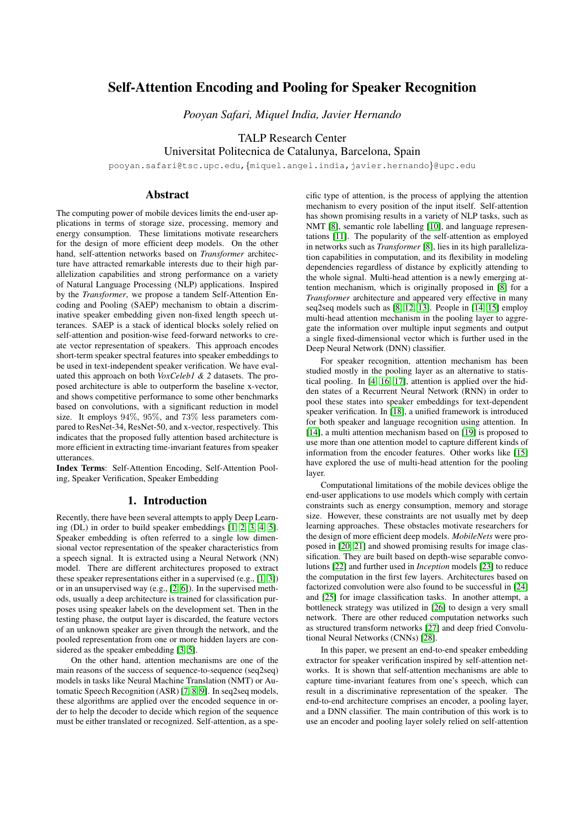# Self-Attention Encoding and Pooling for Speaker Recognition

*Pooyan Safari, Miquel India, Javier Hernando*

TALP Research Center

Universitat Politecnica de Catalunya, Barcelona, Spain

pooyan.safari@tsc.upc.edu,{miquel.angel.india,javier.hernando}@upc.edu

# Abstract

The computing power of mobile devices limits the end-user applications in terms of storage size, processing, memory and energy consumption. These limitations motivate researchers for the design of more efficient deep models. On the other hand, self-attention networks based on *Transformer* architecture have attracted remarkable interests due to their high parallelization capabilities and strong performance on a variety of Natural Language Processing (NLP) applications. Inspired by the *Transformer*, we propose a tandem Self-Attention Encoding and Pooling (SAEP) mechanism to obtain a discriminative speaker embedding given non-fixed length speech utterances. SAEP is a stack of identical blocks solely relied on self-attention and position-wise feed-forward networks to create vector representation of speakers. This approach encodes short-term speaker spectral features into speaker embeddings to be used in text-independent speaker verification. We have evaluated this approach on both *VoxCeleb1 & 2* datasets. The proposed architecture is able to outperform the baseline x-vector, and shows competitive performance to some other benchmarks based on convolutions, with a significant reduction in model size. It employs 94%, 95%, and 73% less parameters compared to ResNet-34, ResNet-50, and x-vector, respectively. This indicates that the proposed fully attention based architecture is more efficient in extracting time-invariant features from speaker utterances.

Index Terms: Self-Attention Encoding, Self-Attention Pooling, Speaker Verification, Speaker Embedding

# 1. Introduction

Recently, there have been several attempts to apply Deep Learning (DL) in order to build speaker embeddings [\[1,](#page-4-0) [2,](#page-4-1) [3,](#page-4-2) [4,](#page-4-3) [5\]](#page-4-4). Speaker embedding is often referred to a single low dimensional vector representation of the speaker characteristics from a speech signal. It is extracted using a Neural Network (NN) model. There are different architectures proposed to extract these speaker representations either in a supervised (e.g., [\[1,](#page-4-0) [3\]](#page-4-2)) or in an unsupervised way (e.g., [\[2,](#page-4-1) [6\]](#page-4-5)). In the supervised methods, usually a deep architecture is trained for classification purposes using speaker labels on the development set. Then in the testing phase, the output layer is discarded, the feature vectors of an unknown speaker are given through the network, and the pooled representation from one or more hidden layers are considered as the speaker embedding [\[3,](#page-4-2) [5\]](#page-4-4).

On the other hand, attention mechanisms are one of the main reasons of the success of sequence-to-sequence (seq2seq) models in tasks like Neural Machine Translation (NMT) or Automatic Speech Recognition (ASR) [\[7,](#page-4-6) [8,](#page-4-7) [9\]](#page-4-8). In seq2seq models, these algorithms are applied over the encoded sequence in order to help the decoder to decide which region of the sequence must be either translated or recognized. Self-attention, as a specific type of attention, is the process of applying the attention mechanism to every position of the input itself. Self-attention has shown promising results in a variety of NLP tasks, such as NMT [\[8\]](#page-4-7), semantic role labelling [\[10\]](#page-4-9), and language representations [\[11\]](#page-4-10). The popularity of the self-attention as employed in networks such as *Transformer* [\[8\]](#page-4-7), lies in its high parallelization capabilities in computation, and its flexibility in modeling dependencies regardless of distance by explicitly attending to the whole signal. Multi-head attention is a newly emerging attention mechanism, which is originally proposed in [\[8\]](#page-4-7) for a *Transformer* architecture and appeared very effective in many seq2seq models such as [\[8,](#page-4-7) [12,](#page-4-11) [13\]](#page-4-12). People in [\[14,](#page-4-13) [15\]](#page-4-14) employ multi-head attention mechanism in the pooling layer to aggregate the information over multiple input segments and output a single fixed-dimensional vector which is further used in the Deep Neural Network (DNN) classifier.

For speaker recognition, attention mechanism has been studied mostly in the pooling layer as an alternative to statistical pooling. In [\[4,](#page-4-3) [16,](#page-4-15) [17\]](#page-4-16), attention is applied over the hidden states of a Recurrent Neural Network (RNN) in order to pool these states into speaker embeddings for text-dependent speaker verification. In [\[18\]](#page-4-17), a unified framework is introduced for both speaker and language recognition using attention. In [\[14\]](#page-4-13), a multi attention mechanism based on [\[19\]](#page-4-18) is proposed to use more than one attention model to capture different kinds of information from the encoder features. Other works like [\[15\]](#page-4-14) have explored the use of multi-head attention for the pooling layer.

Computational limitations of the mobile devices oblige the end-user applications to use models which comply with certain constraints such as energy consumption, memory and storage size. However, these constraints are not usually met by deep learning approaches. These obstacles motivate researchers for the design of more efficient deep models. *MobileNets* were proposed in [\[20,](#page-4-19) [21\]](#page-4-20) and showed promising results for image classification. They are built based on depth-wise separable convolutions [\[22\]](#page-4-21) and further used in *Inception* models [\[23\]](#page-4-22) to reduce the computation in the first few layers. Architectures based on factorized convolution were also found to be successful in [\[24\]](#page-4-23) and [\[25\]](#page-4-24) for image classification tasks. In another attempt, a bottleneck strategy was utilized in [\[26\]](#page-4-25) to design a very small network. There are other reduced computation networks such as structured transform networks [\[27\]](#page-4-26) and deep fried Convolutional Neural Networks (CNNs) [\[28\]](#page-4-27).

In this paper, we present an end-to-end speaker embedding extractor for speaker verification inspired by self-attention networks. It is shown that self-attention mechanisms are able to capture time-invariant features from one's speech, which can result in a discriminative representation of the speaker. The end-to-end architecture comprises an encoder, a pooling layer, and a DNN classifier. The main contribution of this work is to use an encoder and pooling layer solely relied on self-attention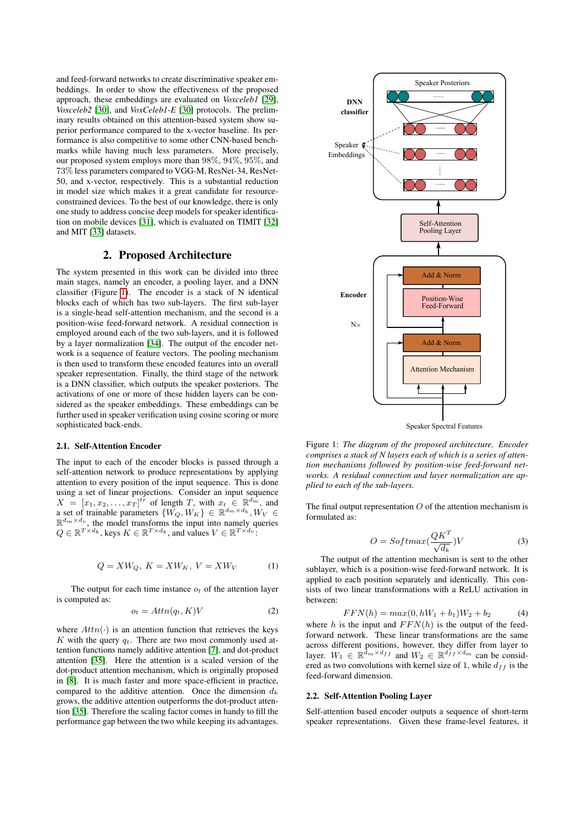and feed-forward networks to create discriminative speaker embeddings. In order to show the effectiveness of the proposed approach, these embeddings are evaluated on *Voxceleb1* [\[29\]](#page-4-28), *Voxceleb2* [\[30\]](#page-4-29), and *VoxCeleb1-E* [\[30\]](#page-4-29) protocols. The preliminary results obtained on this attention-based system show superior performance compared to the x-vector baseline. Its performance is also competitive to some other CNN-based benchmarks while having much less parameters. More precisely, our proposed system employs more than 98%, 94%, 95%, and 73% less parameters compared to VGG-M, ResNet-34, ResNet-50, and x-vector, respectively. This is a substantial reduction in model size which makes it a great candidate for resourceconstrained devices. To the best of our knowledge, there is only one study to address concise deep models for speaker identification on mobile devices [\[31\]](#page-4-30), which is evaluated on TIMIT [\[32\]](#page-4-31) and MIT [\[33\]](#page-4-32) datasets.

# 2. Proposed Architecture

The system presented in this work can be divided into three main stages, namely an encoder, a pooling layer, and a DNN classifier (Figure [1\)](#page-1-0). The encoder is a stack of N identical blocks each of which has two sub-layers. The first sub-layer is a single-head self-attention mechanism, and the second is a position-wise feed-forward network. A residual connection is employed around each of the two sub-layers, and it is followed by a layer normalization [\[34\]](#page-4-33). The output of the encoder network is a sequence of feature vectors. The pooling mechanism is then used to transform these encoded features into an overall speaker representation. Finally, the third stage of the network is a DNN classifier, which outputs the speaker posteriors. The activations of one or more of these hidden layers can be considered as the speaker embeddings. These embeddings can be further used in speaker verification using cosine scoring or more sophisticated back-ends.

### 2.1. Self-Attention Encoder

The input to each of the encoder blocks is passed through a self-attention network to produce representations by applying attention to every position of the input sequence. This is done using a set of linear projections. Consider an input sequence  $X = [x_1, x_2, \dots, x_T]^{tr}$  of length T, with  $x_t \in \mathbb{R}^{d_m}$ , and a set of trainable parameters  $\{W_Q, W_K\} \in \mathbb{R}^{d_m \times d_k}, W_V \in$  $\mathbb{R}^{d_m \times d_v}$ , the model transforms the input into namely queries  $Q \in \mathbb{R}^{T \times d_k}$ , keys  $K \in \mathbb{R}^{T \times d_k}$ , and values  $V \in \mathbb{R}^{T \times d_v}$ .

$$
Q = XW_Q, K = XW_K, V = XW_V \tag{1}
$$

The output for each time instance  $o_t$  of the attention layer is computed as:

$$
o_t = Attn(q_t, K)V \tag{2}
$$

where  $Attn(\cdot)$  is an attention function that retrieves the keys K with the query  $q_t$ . There are two most commonly used attention functions namely additive attention [\[7\]](#page-4-6), and dot-product attention [\[35\]](#page-4-34). Here the attention is a scaled version of the dot-product attention mechanism, which is originally proposed in [\[8\]](#page-4-7). It is much faster and more space-efficient in practice, compared to the additive attention. Once the dimension  $d_k$ grows, the additive attention outperforms the dot-product attention [\[35\]](#page-4-34). Therefore the scaling factor comes in handy to fill the performance gap between the two while keeping its advantages.

<span id="page-1-0"></span>

Speaker Spectral Features

Figure 1: *The diagram of the proposed architecture. Encoder comprises a stack of N layers each of which is a series of attention mechanisms followed by position-wise feed-forward networks. A residual connection and layer normalization are applied to each of the sub-layers.*

The final output representation  $O$  of the attention mechanism is formulated as:

$$
O = Softmax(\frac{QK^T}{\sqrt{d_k}})V
$$
 (3)

The output of the attention mechanism is sent to the other sublayer, which is a position-wise feed-forward network. It is applied to each position separately and identically. This consists of two linear transformations with a ReLU activation in between:

$$
FFN(h) = max(0, hW_1 + b_1)W_2 + b_2 \tag{4}
$$

where h is the input and  $FFN(h)$  is the output of the feedforward network. These linear transformations are the same across different positions, however, they differ from layer to layer.  $W_1 \in \mathbb{R}^{\tilde{d}_m \times d_{ff}}$  and  $W_2 \in \mathbb{R}^{\tilde{d}_f \times d_m}$  can be considered as two convolutions with kernel size of 1, while  $d_{ff}$  is the feed-forward dimension.

#### 2.2. Self-Attention Pooling Layer

Self-attention based encoder outputs a sequence of short-term speaker representations. Given these frame-level features, it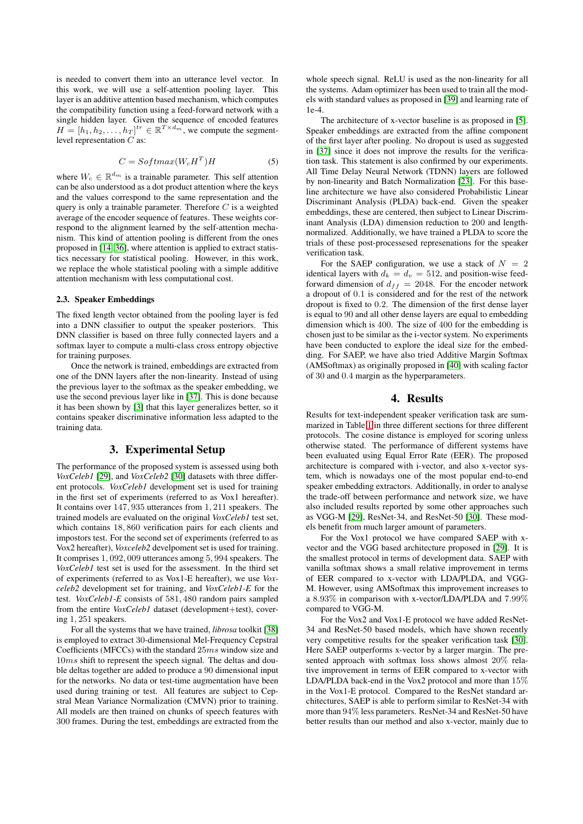is needed to convert them into an utterance level vector. In this work, we will use a self-attention pooling layer. This layer is an additive attention based mechanism, which computes the compatibility function using a feed-forward network with a single hidden layer. Given the sequence of encoded features  $H = [h_1, h_2, \ldots, h_T]^{tr} \in \mathbb{R}^{T \times d_m}$ , we compute the segmentlevel representation C as:

$$
C = Softmax(W_c H^T)H \tag{5}
$$

where  $W_c \in \mathbb{R}^{d_m}$  is a trainable parameter. This self attention can be also understood as a dot product attention where the keys and the values correspond to the same representation and the query is only a trainable parameter. Therefore  $C$  is a weighted average of the encoder sequence of features. These weights correspond to the alignment learned by the self-attention mechanism. This kind of attention pooling is different from the ones proposed in [\[14,](#page-4-13) [36\]](#page-4-35), where attention is applied to extract statistics necessary for statistical pooling. However, in this work, we replace the whole statistical pooling with a simple additive attention mechanism with less computational cost.

#### 2.3. Speaker Embeddings

The fixed length vector obtained from the pooling layer is fed into a DNN classifier to output the speaker posteriors. This DNN classifier is based on three fully connected layers and a softmax layer to compute a multi-class cross entropy objective for training purposes.

Once the network is trained, embeddings are extracted from one of the DNN layers after the non-linearity. Instead of using the previous layer to the softmax as the speaker embedding, we use the second previous layer like in [\[37\]](#page-4-36). This is done because it has been shown by [\[3\]](#page-4-2) that this layer generalizes better, so it contains speaker discriminative information less adapted to the training data.

### 3. Experimental Setup

The performance of the proposed system is assessed using both *VoxCeleb1* [\[29\]](#page-4-28), and *VoxCeleb2* [\[30\]](#page-4-29) datasets with three different protocols. *VoxCeleb1* development set is used for training in the first set of experiments (referred to as Vox1 hereafter). It contains over 147, 935 utterances from 1, 211 speakers. The trained models are evaluated on the original *VoxCeleb1* test set, which contains 18, 860 verification pairs for each clients and impostors test. For the second set of experiments (referred to as Vox2 hereafter), *Voxceleb2* develpoment set is used for training. It comprises 1, 092, 009 utterances among 5, 994 speakers. The *VoxCeleb1* test set is used for the assessment. In the third set of experiments (referred to as Vox1-E hereafter), we use *Voxceleb2* development set for training, and *VoxCeleb1-E* for the test. *VoxCeleb1-E* consists of 581, 480 random pairs sampled from the entire *VoxCeleb1* dataset (development+test), covering 1, 251 speakers.

For all the systems that we have trained, *librosa* toolkit [\[38\]](#page-4-37) is employed to extract 30-dimensional Mel-Frequency Cepstral Coefficients (MFCCs) with the standard 25ms window size and 10ms shift to represent the speech signal. The deltas and double deltas together are added to produce a 90 dimensional input for the networks. No data or test-time augmentation have been used during training or test. All features are subject to Cepstral Mean Variance Normalization (CMVN) prior to training. All models are then trained on chunks of speech features with 300 frames. During the test, embeddings are extracted from the

whole speech signal. ReLU is used as the non-linearity for all the systems. Adam optimizer has been used to train all the models with standard values as proposed in [\[39\]](#page-4-38) and learning rate of 1e-4.

The architecture of x-vector baseline is as proposed in [\[5\]](#page-4-4). Speaker embeddings are extracted from the affine component of the first layer after pooling. No dropout is used as suggested in [\[37\]](#page-4-36) since it does not improve the results for the verification task. This statement is also confirmed by our experiments. All Time Delay Neural Network (TDNN) layers are followed by non-linearity and Batch Normalization [\[23\]](#page-4-22). For this baseline architecture we have also considered Probabilistic Linear Discriminant Analysis (PLDA) back-end. Given the speaker embeddings, these are centered, then subject to Linear Discriminant Analysis (LDA) dimension reduction to 200 and lengthnormalized. Additionally, we have trained a PLDA to score the trials of these post-processesed represenations for the speaker verification task.

For the SAEP configuration, we use a stack of  $N = 2$ identical layers with  $d_k = d_v = 512$ , and position-wise feedforward dimension of  $d_{ff} = 2048$ . For the encoder network a dropout of 0.1 is considered and for the rest of the network dropout is fixed to 0.2. The dimension of the first dense layer is equal to 90 and all other dense layers are equal to embedding dimension which is 400. The size of 400 for the embedding is chosen just to be similar as the i-vector system. No experiments have been conducted to explore the ideal size for the embedding. For SAEP, we have also tried Additive Margin Softmax (AMSoftmax) as originally proposed in [\[40\]](#page-4-39) with scaling factor of 30 and 0.4 margin as the hyperparameters.

### 4. Results

Results for text-independent speaker verification task are summarized in Table [1](#page-3-0) in three different sections for three different protocols. The cosine distance is employed for scoring unless otherwise stated. The performance of different systems have been evaluated using Equal Error Rate (EER). The proposed architecture is compared with i-vector, and also x-vector system, which is nowadays one of the most popular end-to-end speaker embedding extractors. Additionally, in order to analyse the trade-off between performance and network size, we have also included results reported by some other approaches such as VGG-M [\[29\]](#page-4-28), ResNet-34, and ResNet-50 [\[30\]](#page-4-29). These models benefit from much larger amount of parameters.

For the Vox1 protocol we have compared SAEP with xvector and the VGG based architecture proposed in [\[29\]](#page-4-28). It is the smallest protocol in terms of development data. SAEP with vanilla softmax shows a small relative improvement in terms of EER compared to x-vector with LDA/PLDA, and VGG-M. However, using AMSoftmax this improvement increases to a 8.93% in comparison with x-vector/LDA/PLDA and 7.99% compared to VGG-M.

For the Vox2 and Vox1-E protocol we have added ResNet-34 and ResNet-50 based models, which have shown recently very competitive results for the speaker verification task [\[30\]](#page-4-29). Here SAEP outperforms x-vector by a larger margin. The presented approach with softmax loss shows almost 20% relative improvement in terms of EER compared to x-vector with LDA/PLDA back-end in the Vox2 protocol and more than 15% in the Vox1-E protocol. Compared to the ResNet standard architectures, SAEP is able to perform similar to ResNet-34 with more than 94% less parameters. ResNet-34 and ResNet-50 have better results than our method and also x-vector, mainly due to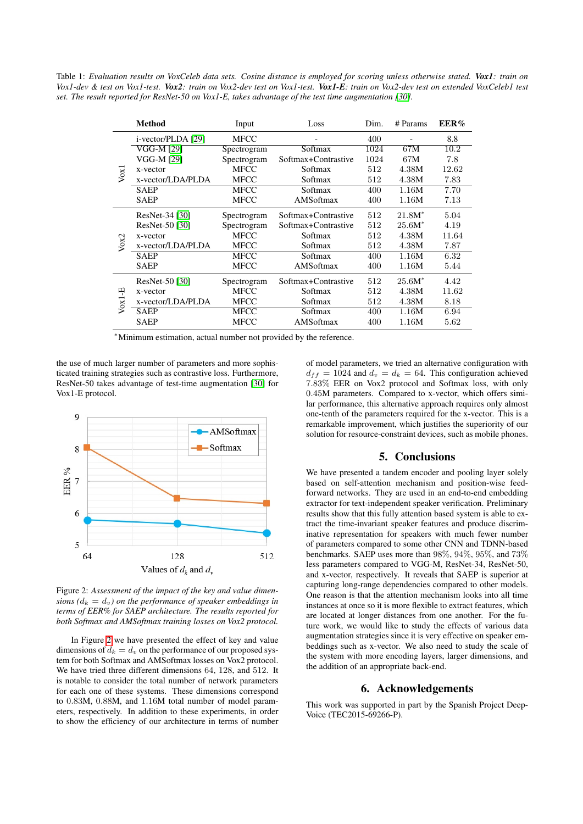<span id="page-3-0"></span>Table 1: *Evaluation results on VoxCeleb data sets. Cosine distance is employed for scoring unless otherwise stated. Vox1: train on Vox1-dev & test on Vox1-test. Vox2: train on Vox2-dev test on Vox1-test. Vox1-E: train on Vox2-dev test on extended VoxCeleb1 test set. The result reported for ResNet-50 on Vox1-E, takes advantage of the test time augmentation [\[30\]](#page-4-29).*

|                  | Method             | Input       | Loss                | Dim. | # Params  | EER%  |
|------------------|--------------------|-------------|---------------------|------|-----------|-------|
| V <sub>ox1</sub> | i-vector/PLDA [29] | <b>MFCC</b> |                     | 400  |           | 8.8   |
|                  | VGG-M [29]         | Spectrogram | Softmax             | 1024 | 67M       | 10.2  |
|                  | VGG-M [29]         | Spectrogram | Softmax+Contrastive | 1024 | 67M       | 7.8   |
|                  | x-vector           | <b>MFCC</b> | Softmax             | 512  | 4.38M     | 12.62 |
|                  | x-vector/LDA/PLDA  | <b>MFCC</b> | Softmax             | 512  | 4.38M     | 7.83  |
|                  | <b>SAEP</b>        | <b>MFCC</b> | Softmax             | 400  | 1.16M     | 7.70  |
|                  | <b>SAEP</b>        | <b>MFCC</b> | AMSoftmax           | 400  | 1.16M     | 7.13  |
| Vox <sub>2</sub> | ResNet-34 [30]     | Spectrogram | Softmax+Contrastive | 512  | $21.8M^*$ | 5.04  |
|                  | ResNet-50 [30]     | Spectrogram | Softmax+Contrastive | 512  | $25.6M^*$ | 4.19  |
|                  | x-vector           | <b>MFCC</b> | Softmax             | 512  | 4.38M     | 11.64 |
|                  | x-vector/LDA/PLDA  | MFCC        | Softmax             | 512  | 4.38M     | 7.87  |
|                  | <b>SAEP</b>        | <b>MFCC</b> | Softmax             | 400  | 1.16M     | 6.32  |
|                  | <b>SAEP</b>        | <b>MFCC</b> | AMSoftmax           | 400  | 1.16M     | 5.44  |
| 뛰<br>Vox1        | ResNet-50 [30]     | Spectrogram | Softmax+Contrastive | 512  | $25.6M^*$ | 4.42  |
|                  | x-vector           | <b>MFCC</b> | Softmax             | 512  | 4.38M     | 11.62 |
|                  | x-vector/LDA/PLDA  | <b>MFCC</b> | Softmax             | 512  | 4.38M     | 8.18  |
|                  | <b>SAEP</b>        | <b>MFCC</b> | Softmax             | 400  | 1.16M     | 6.94  |
|                  | <b>SAEP</b>        | <b>MFCC</b> | AMSoftmax           | 400  | 1.16M     | 5.62  |

<sup>∗</sup>Minimum estimation, actual number not provided by the reference.

the use of much larger number of parameters and more sophisticated training strategies such as contrastive loss. Furthermore, ResNet-50 takes advantage of test-time augmentation [\[30\]](#page-4-29) for Vox1-E protocol.

<span id="page-3-1"></span>

Figure 2: *Assessment of the impact of the key and value dimensions* ( $d_k = d_v$ ) on the performance of speaker embeddings in *terms of EER% for SAEP architecture. The results reported for both Softmax and AMSoftmax training losses on Vox2 protocol.*

In Figure [2](#page-3-1) we have presented the effect of key and value dimensions of  $d_k = d_v$  on the performance of our proposed system for both Softmax and AMSoftmax losses on Vox2 protocol. We have tried three different dimensions 64, 128, and 512. It is notable to consider the total number of network parameters for each one of these systems. These dimensions correspond to 0.83M, 0.88M, and 1.16M total number of model parameters, respectively. In addition to these experiments, in order to show the efficiency of our architecture in terms of number of model parameters, we tried an alternative configuration with  $d_{ff} = 1024$  and  $d_v = d_k = 64$ . This configuration achieved 7.83% EER on Vox2 protocol and Softmax loss, with only 0.45M parameters. Compared to x-vector, which offers similar performance, this alternative approach requires only almost one-tenth of the parameters required for the x-vector. This is a remarkable improvement, which justifies the superiority of our solution for resource-constraint devices, such as mobile phones.

# 5. Conclusions

We have presented a tandem encoder and pooling layer solely based on self-attention mechanism and position-wise feedforward networks. They are used in an end-to-end embedding extractor for text-independent speaker verification. Preliminary results show that this fully attention based system is able to extract the time-invariant speaker features and produce discriminative representation for speakers with much fewer number of parameters compared to some other CNN and TDNN-based benchmarks. SAEP uses more than 98%, 94%, 95%, and 73% less parameters compared to VGG-M, ResNet-34, ResNet-50, and x-vector, respectively. It reveals that SAEP is superior at capturing long-range dependencies compared to other models. One reason is that the attention mechanism looks into all time instances at once so it is more flexible to extract features, which are located at longer distances from one another. For the future work, we would like to study the effects of various data augmentation strategies since it is very effective on speaker embeddings such as x-vector. We also need to study the scale of the system with more encoding layers, larger dimensions, and the addition of an appropriate back-end.

### 6. Acknowledgements

This work was supported in part by the Spanish Project Deep-Voice (TEC2015-69266-P).